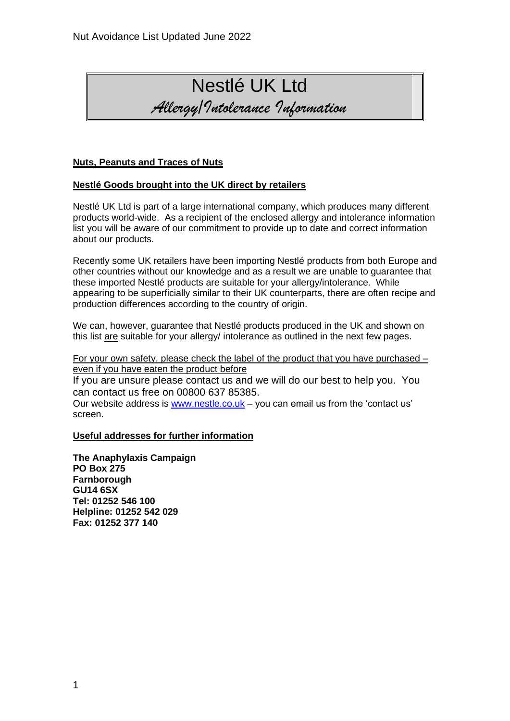

# **Nuts, Peanuts and Traces of Nuts**

# **Nestlé Goods brought into the UK direct by retailers**

Nestlé UK Ltd is part of a large international company, which produces many different products world-wide. As a recipient of the enclosed allergy and intolerance information list you will be aware of our commitment to provide up to date and correct information about our products.

Recently some UK retailers have been importing Nestlé products from both Europe and other countries without our knowledge and as a result we are unable to guarantee that these imported Nestlé products are suitable for your allergy/intolerance. While appearing to be superficially similar to their UK counterparts, there are often recipe and production differences according to the country of origin.

We can, however, guarantee that Nestlé products produced in the UK and shown on this list are suitable for your allergy/ intolerance as outlined in the next few pages.

For your own safety, please check the label of the product that you have purchased – even if you have eaten the product before

If you are unsure please contact us and we will do our best to help you. You can contact us free on 00800 637 85385.

Our website address is [www.nestle.co.uk](http://www.nestle.co.uk/) – you can email us from the 'contact us' screen.

### **Useful addresses for further information**

**The Anaphylaxis Campaign PO Box 275 Farnborough GU14 6SX Tel: 01252 546 100 Helpline: 01252 542 029 Fax: 01252 377 140**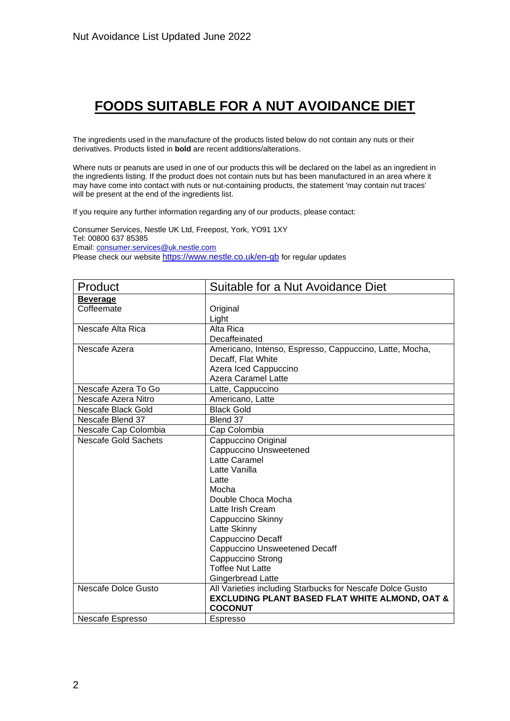# **FOODS SUITABLE FOR A NUT AVOIDANCE DIET**

The ingredients used in the manufacture of the products listed below do not contain any nuts or their derivatives. Products listed in **bold** are recent additions/alterations.

Where nuts or peanuts are used in one of our products this will be declared on the label as an ingredient in the ingredients listing. If the product does not contain nuts but has been manufactured in an area where it may have come into contact with nuts or nut-containing products, the statement 'may contain nut traces' will be present at the end of the ingredients list.

If you require any further information regarding any of our products, please contact:

Consumer Services, Nestle UK Ltd, Freepost, York, YO91 1XY Tel: 00800 637 85385 Email[: consumer.services@uk.nestle.com](mailto:consumer.services@uk.nestle.com) Please check our website <https://www.nestle.co.uk/en-gb> for regular updates

| Product                     | Suitable for a Nut Avoidance Diet                         |
|-----------------------------|-----------------------------------------------------------|
| <u>Beverage</u>             |                                                           |
| Coffeemate                  | Original                                                  |
|                             | Light                                                     |
| Nescafe Alta Rica           | Alta Rica                                                 |
|                             | Decaffeinated                                             |
| Nescafe Azera               | Americano, Intenso, Espresso, Cappuccino, Latte, Mocha,   |
|                             | Decaff, Flat White                                        |
|                             | Azera Iced Cappuccino                                     |
|                             | Azera Caramel Latte                                       |
| Nescafe Azera To Go         | Latte, Cappuccino                                         |
| Nescafe Azera Nitro         | Americano, Latte                                          |
| Nescafe Black Gold          | <b>Black Gold</b>                                         |
| Nescafe Blend 37            | Blend 37                                                  |
| Nescafe Cap Colombia        | Cap Colombia                                              |
| <b>Nescafe Gold Sachets</b> | Cappuccino Original                                       |
|                             | Cappuccino Unsweetened                                    |
|                             | Latte Caramel                                             |
|                             | Latte Vanilla                                             |
|                             | Latte                                                     |
|                             | Mocha                                                     |
|                             | Double Choca Mocha                                        |
|                             | Latte Irish Cream                                         |
|                             | Cappuccino Skinny                                         |
|                             | Latte Skinny                                              |
|                             | Cappuccino Decaff                                         |
|                             | <b>Cappuccino Unsweetened Decaff</b>                      |
|                             | Cappuccino Strong                                         |
|                             | <b>Toffee Nut Latte</b>                                   |
|                             | <b>Gingerbread Latte</b>                                  |
| Nescafe Dolce Gusto         | All Varieties including Starbucks for Nescafe Dolce Gusto |
|                             | <b>EXCLUDING PLANT BASED FLAT WHITE ALMOND, OAT &amp;</b> |
|                             | <b>COCONUT</b>                                            |
| Nescafe Espresso            | <b>Espresso</b>                                           |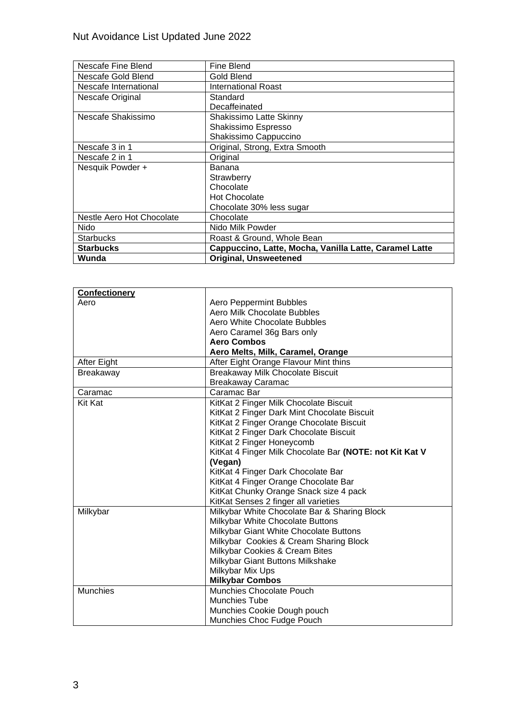| Nescafe Fine Blend        | Fine Blend                                             |
|---------------------------|--------------------------------------------------------|
| Nescafe Gold Blend        | Gold Blend                                             |
| Nescafe International     | <b>International Roast</b>                             |
| Nescafe Original          | Standard                                               |
|                           | Decaffeinated                                          |
| Nescafe Shakissimo        | Shakissimo Latte Skinny                                |
|                           | Shakissimo Espresso                                    |
|                           | Shakissimo Cappuccino                                  |
| Nescafe 3 in 1            | Original, Strong, Extra Smooth                         |
| Nescafe 2 in 1            | Original                                               |
| Nesquik Powder +          | <b>Banana</b>                                          |
|                           | Strawberry                                             |
|                           | Chocolate                                              |
|                           | <b>Hot Chocolate</b>                                   |
|                           | Chocolate 30% less sugar                               |
| Nestle Aero Hot Chocolate | Chocolate                                              |
| Nido                      | Nido Milk Powder                                       |
| <b>Starbucks</b>          | Roast & Ground, Whole Bean                             |
| <b>Starbucks</b>          | Cappuccino, Latte, Mocha, Vanilla Latte, Caramel Latte |
| Wunda                     | <b>Original, Unsweetened</b>                           |

| <b>Confectionery</b> |                                                         |
|----------------------|---------------------------------------------------------|
| Aero                 | Aero Peppermint Bubbles                                 |
|                      | Aero Milk Chocolate Bubbles                             |
|                      | Aero White Chocolate Bubbles                            |
|                      | Aero Caramel 36g Bars only                              |
|                      | <b>Aero Combos</b>                                      |
|                      | Aero Melts, Milk, Caramel, Orange                       |
| After Eight          | After Eight Orange Flavour Mint thins                   |
| Breakaway            | <b>Breakaway Milk Chocolate Biscuit</b>                 |
|                      | <b>Breakaway Caramac</b>                                |
| Caramac              | Caramac Bar                                             |
| <b>Kit Kat</b>       | KitKat 2 Finger Milk Chocolate Biscuit                  |
|                      | KitKat 2 Finger Dark Mint Chocolate Biscuit             |
|                      | KitKat 2 Finger Orange Chocolate Biscuit                |
|                      | KitKat 2 Finger Dark Chocolate Biscuit                  |
|                      | KitKat 2 Finger Honeycomb                               |
|                      | KitKat 4 Finger Milk Chocolate Bar (NOTE: not Kit Kat V |
|                      | (Vegan)                                                 |
|                      | KitKat 4 Finger Dark Chocolate Bar                      |
|                      | KitKat 4 Finger Orange Chocolate Bar                    |
|                      | KitKat Chunky Orange Snack size 4 pack                  |
|                      | KitKat Senses 2 finger all varieties                    |
| Milkybar             | Milkybar White Chocolate Bar & Sharing Block            |
|                      | Milkybar White Chocolate Buttons                        |
|                      | Milkybar Giant White Chocolate Buttons                  |
|                      | Milkybar Cookies & Cream Sharing Block                  |
|                      | Milkybar Cookies & Cream Bites                          |
|                      | Milkybar Giant Buttons Milkshake                        |
|                      | Milkybar Mix Ups                                        |
|                      | <b>Milkybar Combos</b>                                  |
| <b>Munchies</b>      | Munchies Chocolate Pouch                                |
|                      | <b>Munchies Tube</b>                                    |
|                      | Munchies Cookie Dough pouch                             |
|                      | Munchies Choc Fudge Pouch                               |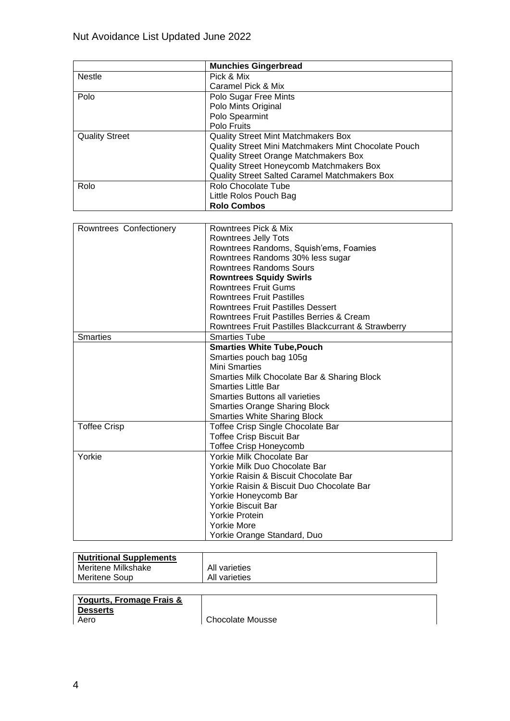|                         | <b>Munchies Gingerbread</b>                          |
|-------------------------|------------------------------------------------------|
| <b>Nestle</b>           | Pick & Mix                                           |
|                         | Caramel Pick & Mix                                   |
| Polo                    | Polo Sugar Free Mints                                |
|                         | Polo Mints Original                                  |
|                         | Polo Spearmint                                       |
|                         | Polo Fruits                                          |
| <b>Quality Street</b>   | <b>Quality Street Mint Matchmakers Box</b>           |
|                         | Quality Street Mini Matchmakers Mint Chocolate Pouch |
|                         | <b>Quality Street Orange Matchmakers Box</b>         |
|                         | Quality Street Honeycomb Matchmakers Box             |
|                         | Quality Street Salted Caramel Matchmakers Box        |
| Rolo                    | Rolo Chocolate Tube                                  |
|                         | Little Rolos Pouch Bag                               |
|                         | <b>Rolo Combos</b>                                   |
|                         |                                                      |
| Rowntrees Confectionery | Rowntrees Pick & Mix                                 |
|                         | <b>Rowntrees Jelly Tots</b>                          |
|                         | Rowntrees Randoms, Squish'ems, Foamies               |
|                         | Rowntrees Randoms 30% less sugar                     |
|                         | <b>Rowntrees Randoms Sours</b>                       |
|                         | <b>Rowntrees Squidy Swirls</b>                       |
|                         | <b>Rowntrees Fruit Gums</b>                          |
|                         | <b>Rowntrees Fruit Pastilles</b>                     |
|                         | Rowntrees Fruit Pastilles Dessert                    |
|                         | Rowntrees Fruit Pastilles Berries & Cream            |
|                         | Rowntrees Fruit Pastilles Blackcurrant & Strawberry  |
| <b>Smarties</b>         | <b>Smarties Tube</b>                                 |
|                         | <b>Smarties White Tube, Pouch</b>                    |
|                         | Smarties pouch bag 105g                              |
|                         | <b>Mini Smarties</b>                                 |
|                         | Smarties Milk Chocolate Bar & Sharing Block          |
|                         | <b>Smarties Little Bar</b>                           |
|                         | <b>Smarties Buttons all varieties</b>                |
|                         | <b>Smarties Orange Sharing Block</b>                 |
|                         | <b>Smarties White Sharing Block</b>                  |
| <b>Toffee Crisp</b>     | Toffee Crisp Single Chocolate Bar                    |
|                         | <b>Toffee Crisp Biscuit Bar</b>                      |
|                         | <b>Toffee Crisp Honeycomb</b>                        |
| Yorkie                  | Yorkie Milk Chocolate Bar                            |
|                         | Yorkie Milk Duo Chocolate Bar                        |
|                         | Yorkie Raisin & Biscuit Chocolate Bar                |
|                         | Yorkie Raisin & Biscuit Duo Chocolate Bar            |
|                         | Yorkie Honeycomb Bar                                 |
|                         | <b>Yorkie Biscuit Bar</b>                            |
|                         | <b>Yorkie Protein</b>                                |
|                         | <b>Yorkie More</b>                                   |
|                         | Yorkie Orange Standard, Duo                          |

| <b>Nutritional Supplements</b> |               |
|--------------------------------|---------------|
| Meritene Milkshake             | All varieties |
| Meritene Soup                  | All varieties |

#### **Yogurts, Fromage Frais & Desserts**

Aero Chocolate Mousse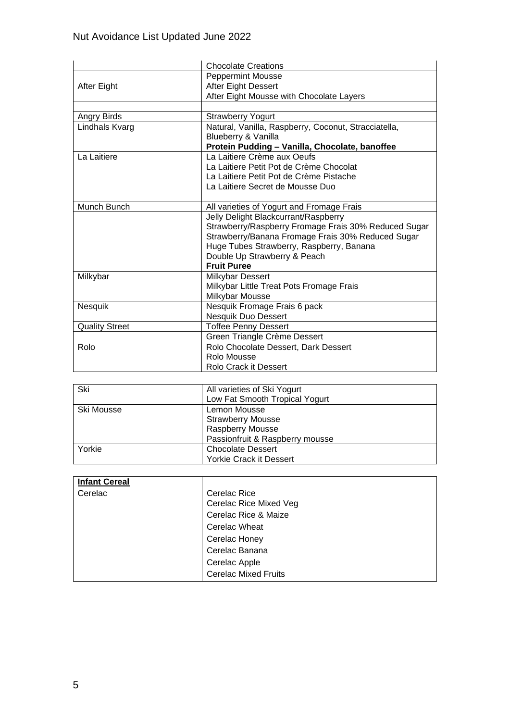|                       | <b>Chocolate Creations</b>                           |
|-----------------------|------------------------------------------------------|
|                       | <b>Peppermint Mousse</b>                             |
| After Eight           | After Eight Dessert                                  |
|                       | After Eight Mousse with Chocolate Layers             |
|                       |                                                      |
| Angry Birds           | <b>Strawberry Yogurt</b>                             |
| Lindhals Kvarg        | Natural, Vanilla, Raspberry, Coconut, Stracciatella, |
|                       | Blueberry & Vanilla                                  |
|                       | Protein Pudding - Vanilla, Chocolate, banoffee       |
| La Laitiere           | La Laitiere Crème aux Oeufs                          |
|                       | La Laitiere Petit Pot de Crème Chocolat              |
|                       | La Laitiere Petit Pot de Crème Pistache              |
|                       | La Laitiere Secret de Mousse Duo                     |
|                       |                                                      |
| Munch Bunch           | All varieties of Yogurt and Fromage Frais            |
|                       | Jelly Delight Blackcurrant/Raspberry                 |
|                       | Strawberry/Raspberry Fromage Frais 30% Reduced Sugar |
|                       | Strawberry/Banana Fromage Frais 30% Reduced Sugar    |
|                       | Huge Tubes Strawberry, Raspberry, Banana             |
|                       | Double Up Strawberry & Peach                         |
|                       | <b>Fruit Puree</b>                                   |
| Milkybar              | Milkybar Dessert                                     |
|                       | Milkybar Little Treat Pots Fromage Frais             |
|                       | Milkybar Mousse                                      |
| Nesquik               | Nesquik Fromage Frais 6 pack                         |
|                       | <b>Nesquik Duo Dessert</b>                           |
| <b>Quality Street</b> | <b>Toffee Penny Dessert</b>                          |
|                       | Green Triangle Crème Dessert                         |
| Rolo                  | Rolo Chocolate Dessert, Dark Dessert                 |
|                       | Rolo Mousse                                          |
|                       | Rolo Crack it Dessert                                |

| Ski        | All varieties of Ski Yogurt     |
|------------|---------------------------------|
|            | Low Fat Smooth Tropical Yogurt  |
| Ski Mousse | Lemon Mousse                    |
|            | <b>Strawberry Mousse</b>        |
|            | <b>Raspberry Mousse</b>         |
|            | Passionfruit & Raspberry mousse |
| Yorkie     | <b>Chocolate Dessert</b>        |
|            | <b>Yorkie Crack it Dessert</b>  |

| <b>Infant Cereal</b> |                             |
|----------------------|-----------------------------|
| Cerelac              | Cerelac Rice                |
|                      | Cerelac Rice Mixed Veg      |
|                      | Cerelac Rice & Maize        |
|                      | <b>Cerelac Wheat</b>        |
|                      | Cerelac Honey               |
|                      | Cerelac Banana              |
|                      | Cerelac Apple               |
|                      | <b>Cerelac Mixed Fruits</b> |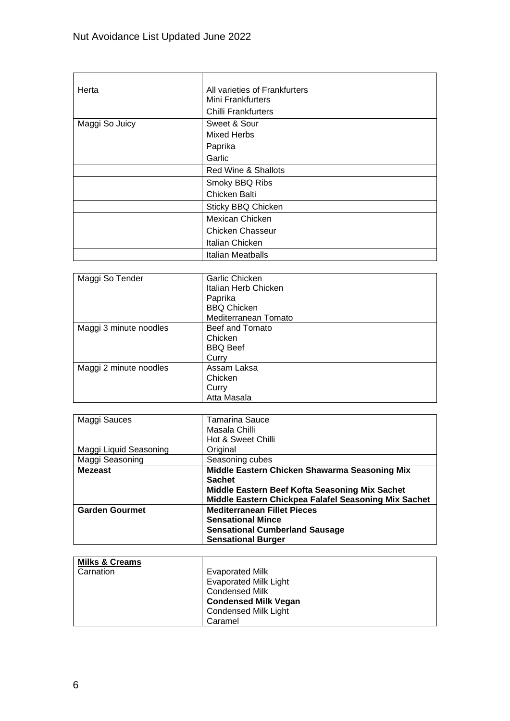| Herta          | All varieties of Frankfurters<br>Mini Frankfurters |
|----------------|----------------------------------------------------|
|                | Chilli Frankfurters                                |
| Maggi So Juicy | Sweet & Sour                                       |
|                | <b>Mixed Herbs</b>                                 |
|                | Paprika                                            |
|                | Garlic                                             |
|                | Red Wine & Shallots                                |
|                | Smoky BBQ Ribs                                     |
|                | Chicken Balti                                      |
|                | Sticky BBQ Chicken                                 |
|                | Mexican Chicken                                    |
|                | <b>Chicken Chasseur</b>                            |
|                | Italian Chicken                                    |
|                | Italian Meatballs                                  |

| Maggi So Tender        | <b>Garlic Chicken</b> |
|------------------------|-----------------------|
|                        | Italian Herb Chicken  |
|                        | Paprika               |
|                        | <b>BBQ Chicken</b>    |
|                        | Mediterranean Tomato  |
| Maggi 3 minute noodles | Beef and Tomato       |
|                        | Chicken               |
|                        | <b>BBQ Beef</b>       |
|                        | Curry                 |
| Maggi 2 minute noodles | Assam Laksa           |
|                        | Chicken               |
|                        | Curry                 |
|                        | Atta Masala           |

| Maggi Sauces           | Tamarina Sauce                                       |
|------------------------|------------------------------------------------------|
|                        | Masala Chilli                                        |
|                        | Hot & Sweet Chilli                                   |
| Maggi Liquid Seasoning | Original                                             |
| Maggi Seasoning        | Seasoning cubes                                      |
| <b>Mezeast</b>         | Middle Eastern Chicken Shawarma Seasoning Mix        |
|                        | <b>Sachet</b>                                        |
|                        | Middle Eastern Beef Kofta Seasoning Mix Sachet       |
|                        | Middle Eastern Chickpea Falafel Seasoning Mix Sachet |
| <b>Garden Gourmet</b>  | <b>Mediterranean Fillet Pieces</b>                   |
|                        | <b>Sensational Mince</b>                             |
|                        | <b>Sensational Cumberland Sausage</b>                |
|                        | <b>Sensational Burger</b>                            |

| <b>Milks &amp; Creams</b> |                              |
|---------------------------|------------------------------|
| Carnation                 | <b>Evaporated Milk</b>       |
|                           | <b>Evaporated Milk Light</b> |
|                           | <b>Condensed Milk</b>        |
|                           | <b>Condensed Milk Vegan</b>  |
|                           | <b>Condensed Milk Light</b>  |
|                           | Caramel                      |